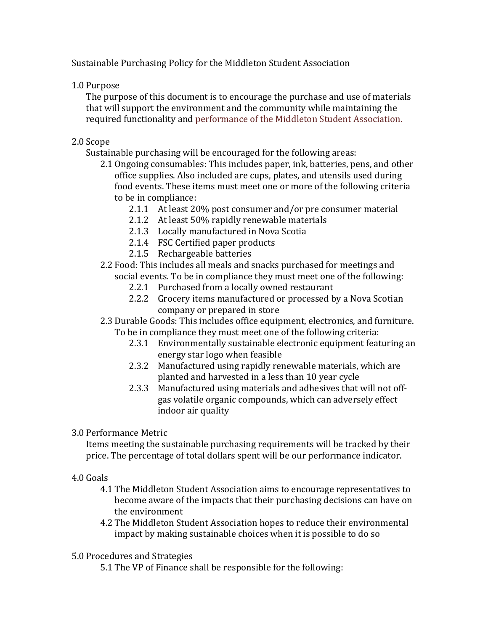Sustainable Purchasing Policy for the Middleton Student Association

1.0 Purpose

The purpose of this document is to encourage the purchase and use of materials that will support the environment and the community while maintaining the required functionality and performance of the Middleton Student Association.

## 2.0 Scope

Sustainable purchasing will be encouraged for the following areas:

- 2.1 Ongoing consumables: This includes paper, ink, batteries, pens, and other office supplies. Also included are cups, plates, and utensils used during food events. These items must meet one or more of the following criteria to be in compliance:
	- 2.1.1 At least  $20\%$  post consumer and/or pre consumer material
	- 2.1.2 At least 50% rapidly renewable materials
	- 2.1.3 Locally manufactured in Nova Scotia
	- 2.1.4 FSC Certified paper products
	- 2.1.5 Rechargeable batteries
- 2.2 Food: This includes all meals and snacks purchased for meetings and social events. To be in compliance they must meet one of the following:
	- 2.2.1 Purchased from a locally owned restaurant
	- 2.2.2 Grocery items manufactured or processed by a Nova Scotian company or prepared in store

#### 2.3 Durable Goods: This includes office equipment, electronics, and furniture. To be in compliance they must meet one of the following criteria:

- 2.3.1 Environmentally sustainable electronic equipment featuring an energy star logo when feasible
- 2.3.2 Manufactured using rapidly renewable materials, which are planted and harvested in a less than 10 year cycle
- 2.3.3 Manufactured using materials and adhesives that will not offgas volatile organic compounds, which can adversely effect indoor air quality

3.0 Performance+Metric

Items meeting the sustainable purchasing requirements will be tracked by their price. The percentage of total dollars spent will be our performance indicator.

### 4.0 Goals

- 4.1 The Middleton Student Association aims to encourage representatives to become aware of the impacts that their purchasing decisions can have on the environment
- 4.2 The Middleton Student Association hopes to reduce their environmental impact by making sustainable choices when it is possible to do so

# 5.0 Procedures and Strategies

5.1 The VP of Finance shall be responsible for the following: